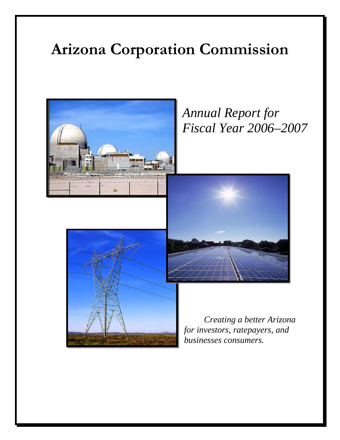# **Arizona Corporation Commission**



*Annual Report for Fiscal Year 2006–2007* 





*Creating a better Arizona for investors, ratepayers, and businesses consumers.*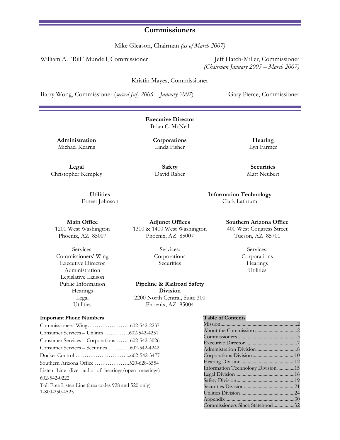### **Commissioners**

Mike Gleason, Chairman *(as of March 2007)*

William A. "Bill" Mundell, Commissioner Jeff Hatch-Miller, Commissioner

*(Chairman January 2005 – March 2007)*

Kristin Mayes, Commissioner

Barry Wong, Commissioner (*served July 2006 – January 2007*) Gary Pierce, Commissioner

**Executive Director**  Brian C. McNeil

**Administration** Michael Kearns

**Corporations**  Linda Fisher

**Hearing** Lyn Farmer

**Legal** Christopher Kempley

**Safety**  David Raber

**Securities** Matt Neubert

**Information Technology** Clark Lathrum

#### **Main Office**

**Utilities** Ernest Johnson

1200 West Washington Phoenix, AZ 85007

Services: Commissioners' Wing Executive Director Administration Legislative Liaison Public Information Hearings Legal Utilities

**Adjunct Offices** 1300 & 1400 West Washington Phoenix, AZ 85007

> Services: Corporations **Securities**

**Pipeline & Railroad Safety Division** 2200 North Central, Suite 300 Phoenix, AZ 85004

#### **Southern Arizona Office**

400 West Congress Street Tucson, AZ 85701

> Services: Corporations **Hearings** Utilities

#### **Important Phone Numbers**

Commissioners' Wing………………….. 602-542-2237 Consumer Services – Utilities…………...602-542-4251 Consumer Services – Corporations…….. 602-542-3026 Consumer Services – Securities …….…...602-542-4242 Docket Control ………………………....602-542-3477 Southern Arizona Office ……………….520-628-6554 Listen Line (live audio of hearings/open meetings) 602-542-0222 Toll Free Listen Line (area codes 928 and 520 only) 1-800-250-4525

#### **Table of Contents**

| Information Technology Division15 |  |
|-----------------------------------|--|
|                                   |  |
|                                   |  |
|                                   |  |
|                                   |  |
|                                   |  |
| Commissioners Since Statehood32   |  |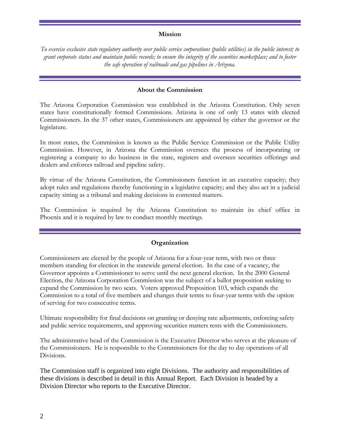### **Mission**

*To exercise exclusive state regulatory authority over public service corporations (public utilities) in the public interest; to grant corporate status and maintain public records; to ensure the integrity of the securities marketplace; and to foster the safe operation of railroads and gas pipelines in Arizona.* 

### **About the Commission**

The Arizona Corporation Commission was established in the Arizona Constitution. Only seven states have constitutionally formed Commissions. Arizona is one of only 13 states with elected Commissioners. In the 37 other states, Commissioners are appointed by either the governor or the legislature.

In most states, the Commission is known as the Public Service Commission or the Public Utility Commission. However, in Arizona the Commission oversees the process of incorporating or registering a company to do business in the state, registers and oversees securities offerings and dealers and enforces railroad and pipeline safety.

By virtue of the Arizona Constitution, the Commissioners function in an executive capacity; they adopt rules and regulations thereby functioning in a legislative capacity; and they also act in a judicial capacity sitting as a tribunal and making decisions in contested matters.

The Commission is required by the Arizona Constitution to maintain its chief office in Phoenix and it is required by law to conduct monthly meetings.

### **Organization**

Commissioners are elected by the people of Arizona for a four-year term, with two or three members standing for election in the statewide general election. In the case of a vacancy, the Governor appoints a Commissioner to serve until the next general election. In the 2000 General Election, the Arizona Corporation Commission was the subject of a ballot proposition seeking to expand the Commission by two seats. Voters approved Proposition 103, which expands the Commission to a total of five members and changes their terms to four-year terms with the option of serving for two consecutive terms.

Ultimate responsibility for final decisions on granting or denying rate adjustments, enforcing safety and public service requirements, and approving securities matters rests with the Commissioners.

The administrative head of the Commission is the Executive Director who serves at the pleasure of the Commissioners. He is responsible to the Commissioners for the day to day operations of all Divisions.

The Commission staff is organized into eight Divisions. The authority and responsibilities of these divisions is described in detail in this Annual Report. Each Division is headed by a Division Director who reports to the Executive Director.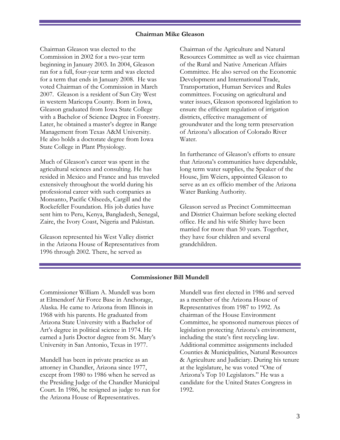### **Chairman Mike Gleason**

Chairman Gleason was elected to the Commission in 2002 for a two-year term beginning in January 2003. In 2004, Gleason ran for a full, four-year term and was elected for a term that ends in January 2008. He was voted Chairman of the Commission in March 2007. Gleason is a resident of Sun City West in western Maricopa County. Born in Iowa, Gleason graduated from Iowa State College with a Bachelor of Science Degree in Forestry. Later, he obtained a master's degree in Range Management from Texas A&M University. He also holds a doctorate degree from Iowa State College in Plant Physiology.

Much of Gleason's career was spent in the agricultural sciences and consulting. He has resided in Mexico and France and has traveled extensively throughout the world during his professional career with such companies as Monsanto, Pacific Oilseeds, Cargill and the Rockefeller Foundation. His job duties have sent him to Peru, Kenya, Bangladesh, Senegal, Zaire, the Ivory Coast, Nigeria and Pakistan.

Gleason represented his West Valley district in the Arizona House of Representatives from 1996 through 2002. There, he served as

Chairman of the Agriculture and Natural Resources Committee as well as vice chairman of the Rural and Native American Affairs Committee. He also served on the Economic Development and International Trade, Transportation, Human Services and Rules committees. Focusing on agricultural and water issues, Gleason sponsored legislation to ensure the efficient regulation of irrigation districts, effective management of groundwater and the long term preservation of Arizona's allocation of Colorado River Water.

In furtherance of Gleason's efforts to ensure that Arizona's communities have dependable, long term water supplies, the Speaker of the House, Jim Weiers, appointed Gleason to serve as an ex officio member of the Arizona Water Banking Authority.

Gleason served as Precinct Committeeman and District Chairman before seeking elected office. He and his wife Shirley have been married for more than 50 years. Together, they have four children and several grandchildren.

#### **Commissioner Bill Mundell**

Commissioner William A. Mundell was born at Elmendorf Air Force Base in Anchorage, Alaska. He came to Arizona from Illinois in 1968 with his parents. He graduated from Arizona State University with a Bachelor of Art's degree in political science in 1974. He earned a Juris Doctor degree from St. Mary's University in San Antonio, Texas in 1977.

Mundell has been in private practice as an attorney in Chandler, Arizona since 1977, except from 1980 to 1986 when he served as the Presiding Judge of the Chandler Municipal Court. In 1986, he resigned as judge to run for the Arizona House of Representatives.

Mundell was first elected in 1986 and served as a member of the Arizona House of Representatives from 1987 to 1992. As chairman of the House Environment Committee, he sponsored numerous pieces of legislation protecting Arizona's environment, including the state's first recycling law. Additional committee assignments included Counties & Municipalities, Natural Resources & Agriculture and Judiciary. During his tenure at the legislature, he was voted "One of Arizona's Top 10 Legislators." He was a candidate for the United States Congress in 1992.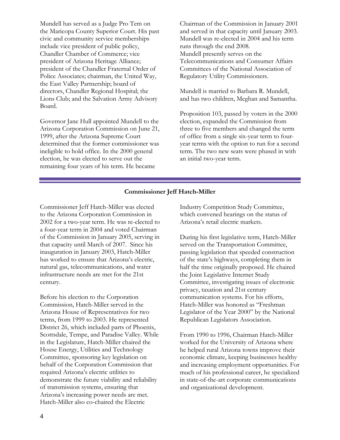Mundell has served as a Judge Pro Tem on the Maricopa County Superior Court. His past civic and community service memberships include vice president of public policy, Chandler Chamber of Commerce; vice president of Arizona Heritage Alliance; president of the Chandler Fraternal Order of Police Associates; chairman, the United Way, the East Valley Partnership; board of directors, Chandler Regional Hospital; the Lions Club; and the Salvation Army Advisory Board.

Governor Jane Hull appointed Mundell to the Arizona Corporation Commission on June 21, 1999, after the Arizona Supreme Court determined that the former commissioner was ineligible to hold office. In the 2000 general election, he was elected to serve out the remaining four years of his term. He became

Chairman of the Commission in January 2001 and served in that capacity until January 2003. Mundell was re-elected in 2004 and his term runs through the end 2008. Mundell presently serves on the Telecommunications and Consumer Affairs Committees of the National Association of Regulatory Utility Commissioners.

Mundell is married to Barbara R. Mundell, and has two children, Meghan and Samantha.

Proposition 103, passed by voters in the 2000 election, expanded the Commission from three to five members and changed the term of office from a single six-year term to fouryear terms with the option to run for a second term. The two new seats were phased in with an initial two-year term.

### **Commissioner Jeff Hatch-Miller**

Commissioner Jeff Hatch-Miller was elected to the Arizona Corporation Commission in 2002 for a two-year term. He was re-elected to a four-year term in 2004 and voted Chairman of the Commission in January 2005, serving in that capacity until March of 2007. Since his inauguration in January 2003, Hatch-Miller has worked to ensure that Arizona's electric, natural gas, telecommunications, and water infrastructure needs are met for the 21st century.

Before his election to the Corporation Commission, Hatch-Miller served in the Arizona House of Representatives for two terms, from 1999 to 2003. He represented District 26, which included parts of Phoenix, Scottsdale, Tempe, and Paradise Valley. While in the Legislature, Hatch-Miller chaired the House Energy, Utilities and Technology Committee, sponsoring key legislation on behalf of the Corporation Commission that required Arizona's electric utilities to demonstrate the future viability and reliability of transmission systems, ensuring that Arizona's increasing power needs are met. Hatch-Miller also co-chaired the Electric

Industry Competition Study Committee, which convened hearings on the status of Arizona's retail electric markets.

During his first legislative term, Hatch-Miller served on the Transportation Committee, passing legislation that speeded construction of the state's highways, completing them in half the time originally proposed. He chaired the Joint Legislative Internet Study Committee, investigating issues of electronic privacy, taxation and 21st century communication systems. For his efforts, Hatch-Miller was honored as "Freshman Legislator of the Year 2000" by the National Republican Legislators Association.

From 1990 to 1996, Chairman Hatch-Miller worked for the University of Arizona where he helped rural Arizona towns improve their economic climate, keeping businesses healthy and increasing employment opportunities. For much of his professional career, he specialized in state-of-the-art corporate communications and organizational development.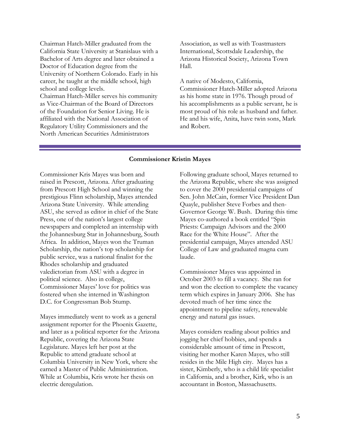Chairman Hatch-Miller graduated from the California State University at Stanislaus with a Bachelor of Arts degree and later obtained a Doctor of Education degree from the University of Northern Colorado. Early in his career, he taught at the middle school, high school and college levels. Chairman Hatch-Miller serves his community as Vice-Chairman of the Board of Directors of the Foundation for Senior Living. He is affiliated with the National Association of Regulatory Utility Commissioners and the North American Securities Administrators

Association, as well as with Toastmasters International, Scottsdale Leadership, the Arizona Historical Society, Arizona Town Hall.

A native of Modesto, California, Commissioner Hatch-Miller adopted Arizona as his home state in 1976. Though proud of his accomplishments as a public servant, he is most proud of his role as husband and father. He and his wife, Anita, have twin sons, Mark and Robert.

#### **Commissioner Kristin Mayes**

Commissioner Kris Mayes was born and raised in Prescott, Arizona. After graduating from Prescott High School and winning the prestigious Flinn scholarship, Mayes attended Arizona State University. While attending ASU, she served as editor in chief of the State Press, one of the nation's largest college newspapers and completed an internship with the Johannesburg Star in Johannesburg, South Africa. In addition, Mayes won the Truman Scholarship, the nation's top scholarship for public service, was a national finalist for the Rhodes scholarship and graduated valedictorian from ASU with a degree in political science. Also in college, Commissioner Mayes' love for politics was fostered when she interned in Washington D.C. for Congressman Bob Stump.

Mayes immediately went to work as a general assignment reporter for the Phoenix Gazette, and later as a political reporter for the Arizona Republic, covering the Arizona State Legislature. Mayes left her post at the Republic to attend graduate school at Columbia University in New York, where she earned a Master of Public Administration. While at Columbia, Kris wrote her thesis on electric deregulation.

Following graduate school, Mayes returned to the Arizona Republic, where she was assigned to cover the 2000 presidential campaigns of Sen. John McCain, former Vice President Dan Quayle, publisher Steve Forbes and then-Governor George W. Bush. During this time Mayes co-authored a book entitled "Spin Priests: Campaign Advisors and the 2000 Race for the White House". After the presidential campaign, Mayes attended ASU College of Law and graduated magna cum laude.

Commissioner Mayes was appointed in October 2003 to fill a vacancy. She ran for and won the election to complete the vacancy term which expires in January 2006. She has devoted much of her time since the appointment to pipeline safety, renewable energy and natural gas issues.

Mayes considers reading about politics and jogging her chief hobbies, and spends a considerable amount of time in Prescott, visiting her mother Karen Mayes, who still resides in the Mile High city. Mayes has a sister, Kimberly, who is a child life specialist in California, and a brother, Kirk, who is an accountant in Boston, Massachusetts.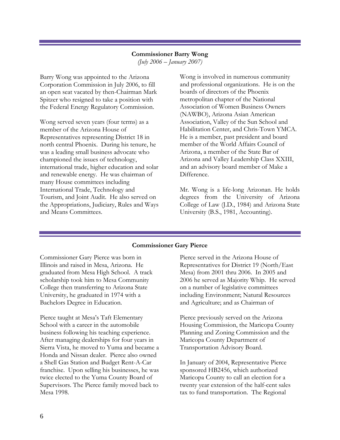### **Commissioner Barry Wong**

*(July 2006 – January 2007)* 

Barry Wong was appointed to the Arizona Corporation Commission in July 2006, to fill an open seat vacated by then-Chairman Mark Spitzer who resigned to take a position with the Federal Energy Regulatory Commission.

Wong served seven years (four terms) as a member of the Arizona House of Representatives representing District 18 in north central Phoenix. During his tenure, he was a leading small business advocate who championed the issues of technology, international trade, higher education and solar and renewable energy. He was chairman of many House committees including International Trade, Technology and Tourism, and Joint Audit. He also served on the Appropriations, Judiciary, Rules and Ways and Means Committees.

Wong is involved in numerous community and professional organizations. He is on the boards of directors of the Phoenix metropolitan chapter of the National Association of Women Business Owners (NAWBO), Arizona Asian American Association, Valley of the Sun School and Habilitation Center, and Chris-Town YMCA. He is a member, past president and board member of the World Affairs Council of Arizona, a member of the State Bar of Arizona and Valley Leadership Class XXIII, and an advisory board member of Make a Difference.

Mr. Wong is a life-long Arizonan. He holds degrees from the University of Arizona College of Law (J.D., 1984) and Arizona State University (B.S., 1981, Accounting).

### **Commissioner Gary Pierce**

Commissioner Gary Pierce was born in Illinois and raised in Mesa, Arizona. He graduated from Mesa High School. A track scholarship took him to Mesa Community College then transferring to Arizona State University, he graduated in 1974 with a Bachelors Degree in Education.

Pierce taught at Mesa's Taft Elementary School with a career in the automobile business following his teaching experience. After managing dealerships for four years in Sierra Vista, he moved to Yuma and became a Honda and Nissan dealer. Pierce also owned a Shell Gas Station and Budget Rent-A-Car franchise. Upon selling his businesses, he was twice elected to the Yuma County Board of Supervisors. The Pierce family moved back to Mesa 1998.

Pierce served in the Arizona House of Representatives for District 19 (North/East Mesa) from 2001 thru 2006. In 2005 and 2006 he served as Majority Whip. He served on a number of legislative committees including Environment; Natural Resources and Agriculture; and as Chairman of

Pierce previously served on the Arizona Housing Commission, the Maricopa County Planning and Zoning Commission and the Maricopa County Department of Transportation Advisory Board.

In January of 2004, Representative Pierce sponsored HB2456, which authorized Maricopa County to call an election for a twenty year extension of the half-cent sales tax to fund transportation. The Regional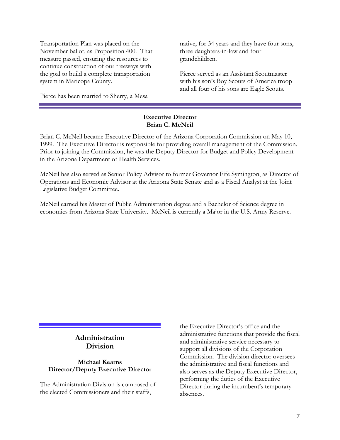Transportation Plan was placed on the November ballot, as Proposition 400. That measure passed, ensuring the resources to continue construction of our freeways with the goal to build a complete transportation system in Maricopa County.

Pierce has been married to Sherry, a Mesa

native, for 34 years and they have four sons, three daughters-in-law and four grandchildren.

Pierce served as an Assistant Scoutmaster with his son's Boy Scouts of America troop and all four of his sons are Eagle Scouts.

### **Executive Director Brian C. McNeil**

Brian C. McNeil became Executive Director of the Arizona Corporation Commission on May 10, 1999. The Executive Director is responsible for providing overall management of the Commission. Prior to joining the Commission, he was the Deputy Director for Budget and Policy Development in the Arizona Department of Health Services.

McNeil has also served as Senior Policy Advisor to former Governor Fife Symington, as Director of Operations and Economic Advisor at the Arizona State Senate and as a Fiscal Analyst at the Joint Legislative Budget Committee.

McNeil earned his Master of Public Administration degree and a Bachelor of Science degree in economics from Arizona State University. McNeil is currently a Major in the U.S. Army Reserve.

### **Administration Division**

### **Michael Kearns Director/Deputy Executive Director**

The Administration Division is composed of the elected Commissioners and their staffs,

the Executive Director's office and the administrative functions that provide the fiscal and administrative service necessary to support all divisions of the Corporation Commission. The division director oversees the administrative and fiscal functions and also serves as the Deputy Executive Director, performing the duties of the Executive Director during the incumbent's temporary absences.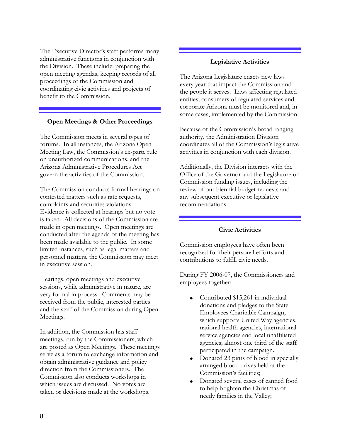The Executive Director's staff performs many administrative functions in conjunction with the Division. These include: preparing the open meeting agendas, keeping records of all proceedings of the Commission and coordinating civic activities and projects of benefit to the Commission.

### **Open Meetings & Other Proceedings**

The Commission meets in several types of forums. In all instances, the Arizona Open Meeting Law, the Commission's ex-parte rule on unauthorized communications, and the Arizona Administrative Procedures Act govern the activities of the Commission.

The Commission conducts formal hearings on contested matters such as rate requests, complaints and securities violations. Evidence is collected at hearings but no vote is taken. All decisions of the Commission are made in open meetings. Open meetings are conducted after the agenda of the meeting has been made available to the public. In some limited instances, such as legal matters and personnel matters, the Commission may meet in executive session.

Hearings, open meetings and executive sessions, while administrative in nature, are very formal in process. Comments may be received from the public, interested parties and the staff of the Commission during Open Meetings.

In addition, the Commission has staff meetings, run by the Commissioners, which are posted as Open Meetings. These meetings serve as a forum to exchange information and obtain administrative guidance and policy direction from the Commissioners. The Commission also conducts workshops in which issues are discussed. No votes are taken or decisions made at the workshops.

#### **Legislative Activities**

The Arizona Legislature enacts new laws every year that impact the Commission and the people it serves. Laws affecting regulated entities, consumers of regulated services and corporate Arizona must be monitored and, in some cases, implemented by the Commission.

Because of the Commission's broad ranging authority, the Administration Division coordinates all of the Commission's legislative activities in conjunction with each division.

Additionally, the Division interacts with the Office of the Governor and the Legislature on Commission funding issues, including the review of our biennial budget requests and any subsequent executive or legislative recommendations.

### **Civic Activities**

Commission employees have often been recognized for their personal efforts and contributions to fulfill civic needs.

During FY 2006-07, the Commissioners and employees together:

- Contributed \$15,261 in individual donations and pledges to the State Employees Charitable Campaign, which supports United Way agencies, national health agencies, international service agencies and local unaffiliated agencies; almost one third of the staff participated in the campaign.
- Donated 23 pints of blood in specially arranged blood drives held at the Commission's facilities;
- Donated several cases of canned food to help brighten the Christmas of needy families in the Valley;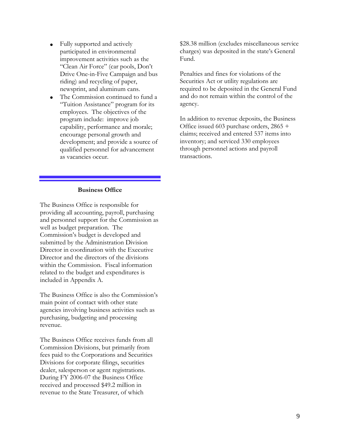- Fully supported and actively participated in environmental improvement activities such as the "Clean Air Force" (car pools, Don't Drive One-in-Five Campaign and bus riding) and recycling of paper, newsprint, and aluminum cans.
- The Commission continued to fund a "Tuition Assistance" program for its employees. The objectives of the program include: improve job capability, performance and morale; encourage personal growth and development; and provide a source of qualified personnel for advancement as vacancies occur.

\$28.38 million (excludes miscellaneous service charges) was deposited in the state's General Fund.

Penalties and fines for violations of the Securities Act or utility regulations are required to be deposited in the General Fund and do not remain within the control of the agency.

In addition to revenue deposits, the Business Office issued 603 purchase orders, 2865 + claims; received and entered 537 items into inventory; and serviced 330 employees through personnel actions and payroll transactions.

### **Business Office**

The Business Office is responsible for providing all accounting, payroll, purchasing and personnel support for the Commission as well as budget preparation. The Commission's budget is developed and submitted by the Administration Division Director in coordination with the Executive Director and the directors of the divisions within the Commission. Fiscal information related to the budget and expenditures is included in Appendix A.

The Business Office is also the Commission's main point of contact with other state agencies involving business activities such as purchasing, budgeting and processing revenue.

The Business Office receives funds from all Commission Divisions, but primarily from fees paid to the Corporations and Securities Divisions for corporate filings, securities dealer, salesperson or agent registrations. During FY 2006-07 the Business Office received and processed \$49.2 million in revenue to the State Treasurer, of which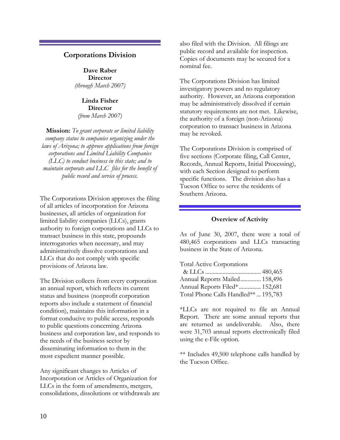### **Corporations Division**

**Dave Raber Director**  *(through March 2007)* 

**Linda Fisher Director**  *(from March 2007)*

**Mission:** *To grant corporate or limited liability company status to companies organizing under the laws of Arizona; to approve applications from foreign corporations and Limited Liability Companies (LLC) to conduct business in this state; and to maintain corporate and LLC files for the benefit of public record and service of process.* 

The Corporations Division approves the filing of all articles of incorporation for Arizona businesses, all articles of organization for limited liability companies (LLCs), grants authority to foreign corporations and LLCs to transact business in this state, propounds interrogatories when necessary, and may administratively dissolve corporations and LLCs that do not comply with specific provisions of Arizona law.

The Division collects from every corporation an annual report, which reflects its current status and business (nonprofit corporation reports also include a statement of financial condition), maintains this information in a format conducive to public access, responds to public questions concerning Arizona business and corporation law, and responds to the needs of the business sector by disseminating information to them in the most expedient manner possible.

Any significant changes to Articles of Incorporation or Articles of Organization for LLCs in the form of amendments, mergers, consolidations, dissolutions or withdrawals are

also filed with the Division. All filings are public record and available for inspection. Copies of documents may be secured for a nominal fee.

The Corporations Division has limited investigatory powers and no regulatory authority. However, an Arizona corporation may be administratively dissolved if certain statutory requirements are not met. Likewise, the authority of a foreign (non-Arizona) corporation to transact business in Arizona may be revoked.

The Corporations Division is comprised of five sections (Corporate filing, Call Center, Records, Annual Reports, Initial Processing), with each Section designed to perform specific functions. The division also has a Tucson Office to serve the residents of Southern Arizona.

### **Overview of Activity**

As of June 30, 2007, there were a total of 480,465 corporations and LLCs transacting business in the State of Arizona.

Total Active Corporations

| Annual Reports Mailed 158,496       |  |
|-------------------------------------|--|
| Annual Reports Filed* 152,681       |  |
| Total Phone Calls Handled** 195,783 |  |

\*LLCs are not required to file an Annual Report. There are some annual reports that are returned as undeliverable. Also, there were 31,703 annual reports electronically filed using the e-File option.

\*\* Includes 49,500 telephone calls handled by the Tucson Office.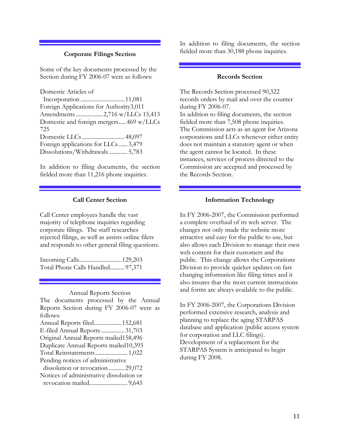### **Corporate Filings Section**

Some of the key documents processed by the Section during FY 2006-07 were as follows:

Domestic Articles of Incorporation ..............................11,081 Foreign Applications for Authority3,011 Amendments .................. 2,716 w/LLCs 15,413 Domestic and foreign mergers.....469 w/LLCs 725 Domestic LLCs .............................48,097 Foreign applications for LLCs ...... 3,479 Dissolutions/Withdrawals............. 5,783

In addition to filing documents, the section fielded more than 11,216 phone inquiries.

### **Call Center Section**

Call Center employees handle the vast majority of telephone inquiries regarding corporate filings. The staff researches rejected filings, as well as assists online filers and responds to other general filing questions.

Incoming Calls.............................129,203 Total Phone Calls Handled..........97,371

#### Annual Reports Section

The documents processed by the Annual Reports Section during FY 2006-07 were as follows: Annual Reports filed...................152,681 E-filed Annual Reports ................31,703 Original Annual Reports mailed158,496 Duplicate Annual Reports mailed10,393 Total Reinstatements...................... 1,022 Pending notices of administrative dissolution or revocation...........29,072

Notices of administrative dissolution or revocation mailed.......................... 9,645

In addition to filing documents, the section fielded more than 30,188 phone inquiries.

### **Records Section**

The Records Section processed 90,322 records orders by mail and over the counter during FY 2006-07. In addition to filing documents, the section fielded more than 7,508 phone inquiries. The Commission acts as an agent for Arizona corporations and LLCs whenever either entity does not maintain a statutory agent or when the agent cannot be located. In these instances, services of process directed to the Commission are accepted and processed by the Records Section.

#### **Information Technology**

In FY 2006-2007, the Commission performed a complete overhaul of its web server. The changes not only made the website more attractive and easy for the public to use, but also allows each Division to manage their own web content for their customers and the public. This change allows the Corporations Division to provide quicker updates on fast changing information like filing times and it also insures that the most current instructions and forms are always available to the public.

In FY 2006-2007, the Corporations Division performed extensive research, analysis and planning to replace the aging STARPAS database and application (public access system for corporation and LLC filings). Development of a replacement for the STARPAS System is anticipated to begin during FY 2008.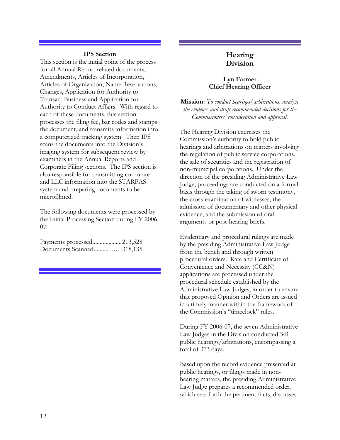### **IPS Section**

This section is the initial point of the process for all Annual Report related documents, Amendments, Articles of Incorporation, Articles of Organization, Name Reservations, Changes, Application for Authority to Transact Business and Application for Authority to Conduct Affairs. With regard to each of these documents, this section processes the filing fee, bar codes and stamps the document, and transmits information into a computerized tracking system. Then IPS scans the documents into the Division's imaging system for subsequent review by examiners in the Annual Reports and Corporate Filing sections. The IPS section is also responsible for transmitting corporate and LLC information into the STARPAS system and preparing documents to be microfilmed.

The following documents were processed by the Initial Processing Section during FY 2006- 07:

| Payments processed213,528 |  |
|---------------------------|--|
| Documents Scanned318,135  |  |

### **Hearing Division**

### **Lyn Farmer Chief Hearing Officer**

**Mission:** *To conduct hearings/arbitrations, analyze the evidence and draft recommended decisions for the Commissioners' consideration and approval.* 

The Hearing Division exercises the Commission's authority to hold public hearings and arbitrations on matters involving the regulation of public service corporations, the sale of securities and the registration of non-municipal corporations. Under the direction of the presiding Administrative Law Judge, proceedings are conducted on a formal basis through the taking of sworn testimony, the cross-examination of witnesses, the admission of documentary and other physical evidence, and the submission of oral arguments or post-hearing briefs.

Evidentiary and procedural rulings are made by the presiding Administrative Law Judge from the bench and through written procedural orders. Rate and Certificate of Convenience and Necessity (CC&N) applications are processed under the procedural schedule established by the Administrative Law Judges, in order to ensure that proposed Opinion and Orders are issued in a timely manner within the framework of the Commission's "timeclock" rules.

During FY 2006-07, the seven Administrative Law Judges in the Division conducted 341 public hearings/arbitrations, encompassing a total of 373 days.

Based upon the record evidence presented at public hearings, or filings made in nonhearing matters, the presiding Administrative Law Judge prepares a recommended order, which sets forth the pertinent facts, discusses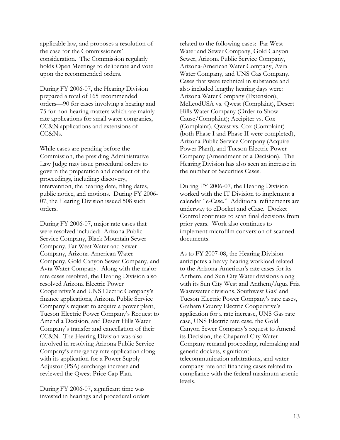applicable law, and proposes a resolution of the case for the Commissioners' consideration. The Commission regularly holds Open Meetings to deliberate and vote upon the recommended orders.

During FY 2006-07, the Hearing Division prepared a total of 165 recommended orders—90 for cases involving a hearing and 75 for non-hearing matters which are mainly rate applications for small water companies, CC&N applications and extensions of CC&Ns.

While cases are pending before the Commission, the presiding Administrative Law Judge may issue procedural orders to govern the preparation and conduct of the proceedings, including: discovery, intervention, the hearing date, filing dates, public notice, and motions. During FY 2006- 07, the Hearing Division issued 508 such orders.

During FY 2006-07, major rate cases that were resolved included: Arizona Public Service Company, Black Mountain Sewer Company, Far West Water and Sewer Company, Arizona-American Water Company, Gold Canyon Sewer Company, and Avra Water Company. Along with the major rate cases resolved, the Hearing Division also resolved Arizona Electric Power Cooperative's and UNS Electric Company's finance applications, Arizona Public Service Company's request to acquire a power plant, Tucson Electric Power Company's Request to Amend a Decision, and Desert Hills Water Company's transfer and cancellation of their CC&N. The Hearing Division was also involved in resolving Arizona Public Service Company's emergency rate application along with its application for a Power Supply Adjustor (PSA) surcharge increase and reviewed the Qwest Price Cap Plan.

During FY 2006-07, significant time was invested in hearings and procedural orders related to the following cases: Far West Water and Sewer Company, Gold Canyon Sewer, Arizona Public Service Company, Arizona-American Water Company, Avra Water Company, and UNS Gas Company. Cases that were technical in substance and also included lengthy hearing days were: Arizona Water Company (Extension), McLeodUSA vs. Qwest (Complaint), Desert Hills Water Company (Order to Show Cause/Complaint); Accipiter vs. Cox (Complaint), Qwest vs. Cox (Complaint) (both Phase I and Phase II were completed), Arizona Public Service Company (Acquire Power Plant), and Tucson Electric Power Company (Amendment of a Decision). The Hearing Division has also seen an increase in the number of Securities Cases.

During FY 2006-07, the Hearing Division worked with the IT Division to implement a calendar "e-Case." Additional refinements are underway to eDocket and eCase. Docket Control continues to scan final decisions from prior years. Work also continues to implement microfilm conversion of scanned documents.

As to FY 2007-08, the Hearing Division anticipates a heavy hearing workload related to the Arizona-American's rate cases for its Anthem, and Sun City Water divisions along with its Sun City West and Anthem/Agua Fria Wastewater divisions, Southwest Gas' and Tucson Electric Power Company's rate cases, Graham County Electric Cooperative's application for a rate increase, UNS Gas rate case, UNS Electric rate case, the Gold Canyon Sewer Company's request to Amend its Decision, the Chaparral City Water Company remand proceeding, rulemaking and generic dockets, significant telecommunication arbitrations, and water company rate and financing cases related to compliance with the federal maximum arsenic levels.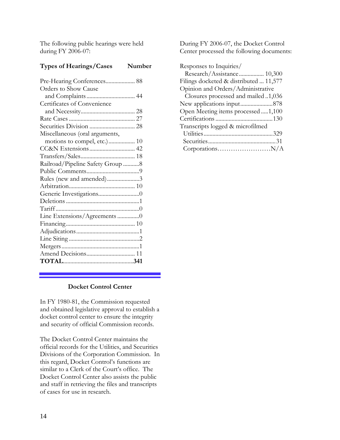The following public hearings were held during FY 2006-07:

### **Types of Hearings/Cases Number**

| Pre-Hearing Conferences 88       |  |
|----------------------------------|--|
| Orders to Show Cause             |  |
|                                  |  |
| Certificates of Convenience      |  |
|                                  |  |
|                                  |  |
|                                  |  |
| Miscellaneous (oral arguments,   |  |
| motions to compel, etc.) 10      |  |
|                                  |  |
|                                  |  |
| Railroad/Pipeline Safety Group 8 |  |
|                                  |  |
| Rules (new and amended)3         |  |
|                                  |  |
|                                  |  |
|                                  |  |
|                                  |  |
| Line Extensions/Agreements 0     |  |
|                                  |  |
|                                  |  |
|                                  |  |
|                                  |  |
|                                  |  |
|                                  |  |

### **Docket Control Center**

In FY 1980-81, the Commission requested and obtained legislative approval to establish a docket control center to ensure the integrity and security of official Commission records.

The Docket Control Center maintains the official records for the Utilities, and Securities Divisions of the Corporation Commission. In this regard, Docket Control's functions are similar to a Clerk of the Court's office. The Docket Control Center also assists the public and staff in retrieving the files and transcripts of cases for use in research.

During FY 2006-07, the Docket Control Center processed the following documents:

| Responses to Inquiries/                |
|----------------------------------------|
| Research/Assistance 10,300             |
| Filings docketed & distributed  11,577 |
| Opinion and Orders/Administrative      |
| Closures processed and mailed 1,036    |
|                                        |
| Open Meeting items processed  1,100    |
|                                        |
| Transcripts logged & microfilmed       |
|                                        |
|                                        |
|                                        |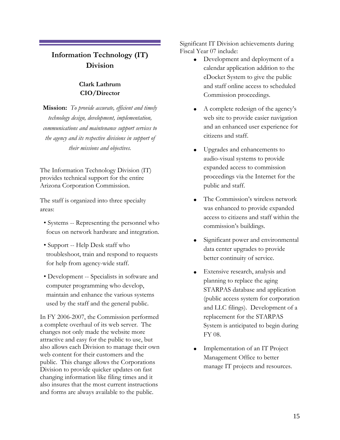### **Information Technology (IT) Division**

### **Clark Lathrum CIO/Director**

**Mission:** *To provide accurate, efficient and timely technology design, development, implementation, communications and maintenance support services to the agency and its respective divisions in support of their missions and objectives.* 

The Information Technology Division (IT) provides technical support for the entire Arizona Corporation Commission.

The staff is organized into three specialty areas:

- Systems -- Representing the personnel who focus on network hardware and integration.
- Support -- Help Desk staff who troubleshoot, train and respond to requests for help from agency-wide staff.
- Development -- Specialists in software and computer programming who develop, maintain and enhance the various systems used by the staff and the general public.

In FY 2006-2007, the Commission performed a complete overhaul of its web server. The changes not only made the website more attractive and easy for the public to use, but also allows each Division to manage their own web content for their customers and the public. This change allows the Corporations Division to provide quicker updates on fast changing information like filing times and it also insures that the most current instructions and forms are always available to the public.

Significant IT Division achievements during Fiscal Year 07 include:

- Development and deployment of a calendar application addition to the eDocket System to give the public and staff online access to scheduled Commission proceedings.
- A complete redesign of the agency's web site to provide easier navigation and an enhanced user experience for citizens and staff.
- Upgrades and enhancements to audio-visual systems to provide expanded access to commission proceedings via the Internet for the public and staff.
- The Commission's wireless network was enhanced to provide expanded access to citizens and staff within the commission's buildings.
- Significant power and environmental data center upgrades to provide better continuity of service.
- Extensive research, analysis and planning to replace the aging STARPAS database and application (public access system for corporation and LLC filings). Development of a replacement for the STARPAS System is anticipated to begin during FY 08.
- Implementation of an IT Project Management Office to better manage IT projects and resources.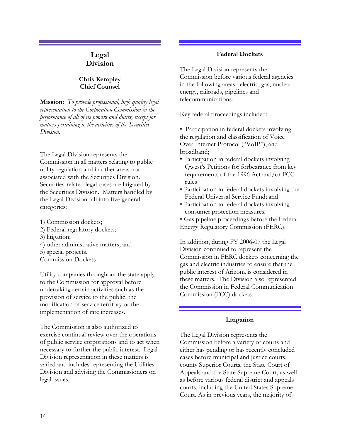### **Legal Division**

### **Chris Kempley Chief Counsel**

**Mission:** *To provide professional, high quality legal representation to the Corporation Commission in the performance of all of its powers and duties, except for matters pertaining to the activities of the Securities Division.* 

The Legal Division represents the Commission in all matters relating to public utility regulation and in other areas not associated with the Securities Division. Securities-related legal cases are litigated by the Securities Division. Matters handled by the Legal Division fall into five general categories:

- 1) Commission dockets;
- 2) Federal regulatory dockets;
- 3) litigation;
- 4) other administrative matters; and
- 5) special projects.
- Commission Dockets

Utility companies throughout the state apply to the Commission for approval before undertaking certain activities such as the provision of service to the public, the modification of service territory or the implementation of rate increases.

The Commission is also authorized to exercise continual review over the operations of public service corporations and to act when necessary to further the public interest. Legal Division representation in these matters is varied and includes representing the Utilities Division and advising the Commissioners on legal issues.

### **Federal Dockets**

The Legal Division represents the Commission before various federal agencies in the following areas: electric, gas, nuclear energy, railroads, pipelines and telecommunications.

Key federal proceedings included:

• Participation in federal dockets involving the regulation and classification of Voice Over Internet Protocol ("VoIP"), and broadband;

- Participation in federal dockets involving Qwest's Petitions for forbearance from key requirements of the 1996 Act and/or FCC rules
- Participation in federal dockets involving the Federal Universal Service Fund; and
- Participation in federal dockets involving consumer protection measures.
- Gas pipeline proceedings before the Federal
- Energy Regulatory Commission (FERC).

In addition, during FY 2006-07 the Legal Division continued to represent the Commission in FERC dockets concerning the gas and electric industries to ensure that the public interest of Arizona is considered in these matters. The Division also represented the Commission in Federal Communication Commission (FCC) dockets.

### **Litigation**

The Legal Division represents the Commission before a variety of courts and either has pending or has recently concluded cases before municipal and justice courts, county Superior Courts, the State Court of Appeals and the State Supreme Court, as well as before various federal district and appeals courts, including the United States Supreme Court. As in previous years, the majority of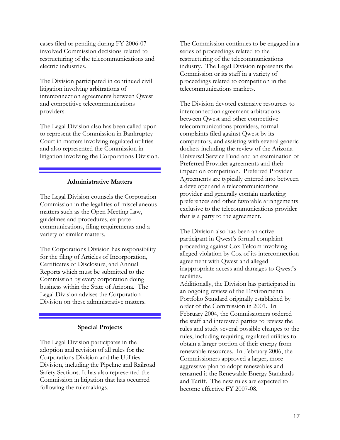cases filed or pending during FY 2006-07 involved Commission decisions related to restructuring of the telecommunications and electric industries.

The Division participated in continued civil litigation involving arbitrations of interconnection agreements between Qwest and competitive telecommunications providers.

The Legal Division also has been called upon to represent the Commission in Bankruptcy Court in matters involving regulated utilities and also represented the Commission in litigation involving the Corporations Division.

### **Administrative Matters**

The Legal Division counsels the Corporation Commission in the legalities of miscellaneous matters such as the Open Meeting Law, guidelines and procedures, ex-parte communications, filing requirements and a variety of similar matters.

The Corporations Division has responsibility for the filing of Articles of Incorporation, Certificates of Disclosure, and Annual Reports which must be submitted to the Commission by every corporation doing business within the State of Arizona. The Legal Division advises the Corporation Division on these administrative matters.

### **Special Projects**

The Legal Division participates in the adoption and revision of all rules for the Corporations Division and the Utilities Division, including the Pipeline and Railroad Safety Sections. It has also represented the Commission in litigation that has occurred following the rulemakings.

The Commission continues to be engaged in a series of proceedings related to the restructuring of the telecommunications industry. The Legal Division represents the Commission or its staff in a variety of proceedings related to competition in the telecommunications markets.

The Division devoted extensive resources to interconnection agreement arbitrations between Qwest and other competitive telecommunications providers, formal complaints filed against Qwest by its competitors, and assisting with several generic dockets including the review of the Arizona Universal Service Fund and an examination of Preferred Provider agreements and their impact on competition. Preferred Provider Agreements are typically entered into between a developer and a telecommunications provider and generally contain marketing preferences and other favorable arrangements exclusive to the telecommunications provider that is a party to the agreement.

The Division also has been an active participant in Qwest's formal complaint proceeding against Cox Telcom involving alleged violation by Cox of its interconnection agreement with Qwest and alleged inappropriate access and damages to Qwest's facilities.

Additionally, the Division has participated in an ongoing review of the Environmental Portfolio Standard originally established by order of the Commission in 2001. In February 2004, the Commissioners ordered the staff and interested parties to review the rules and study several possible changes to the rules, including requiring regulated utilities to obtain a larger portion of their energy from renewable resources. In February 2006, the Commissioners approved a larger, more aggressive plan to adopt renewables and renamed it the Renewable Energy Standards and Tariff. The new rules are expected to become effective FY 2007-08.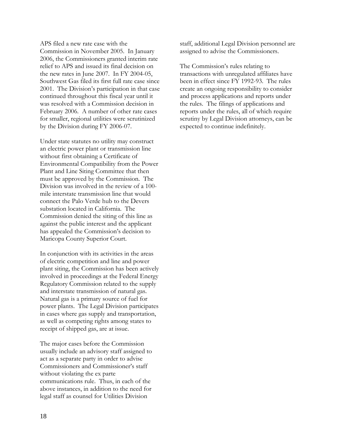APS filed a new rate case with the Commission in November 2005. In January 2006, the Commissioners granted interim rate relief to APS and issued its final decision on the new rates in June 2007. In FY 2004-05, Southwest Gas filed its first full rate case since 2001. The Division's participation in that case continued throughout this fiscal year until it was resolved with a Commission decision in February 2006. A number of other rate cases for smaller, regional utilities were scrutinized by the Division during FY 2006-07.

Under state statutes no utility may construct an electric power plant or transmission line without first obtaining a Certificate of Environmental Compatibility from the Power Plant and Line Siting Committee that then must be approved by the Commission. The Division was involved in the review of a 100 mile interstate transmission line that would connect the Palo Verde hub to the Devers substation located in California. The Commission denied the siting of this line as against the public interest and the applicant has appealed the Commission's decision to Maricopa County Superior Court.

In conjunction with its activities in the areas of electric competition and line and power plant siting, the Commission has been actively involved in proceedings at the Federal Energy Regulatory Commission related to the supply and interstate transmission of natural gas. Natural gas is a primary source of fuel for power plants. The Legal Division participates in cases where gas supply and transportation, as well as competing rights among states to receipt of shipped gas, are at issue.

The major cases before the Commission usually include an advisory staff assigned to act as a separate party in order to advise Commissioners and Commissioner's staff without violating the ex parte communications rule. Thus, in each of the above instances, in addition to the need for legal staff as counsel for Utilities Division

staff, additional Legal Division personnel are assigned to advise the Commissioners.

The Commission's rules relating to transactions with unregulated affiliates have been in effect since FY 1992-93. The rules create an ongoing responsibility to consider and process applications and reports under the rules. The filings of applications and reports under the rules, all of which require scrutiny by Legal Division attorneys, can be expected to continue indefinitely.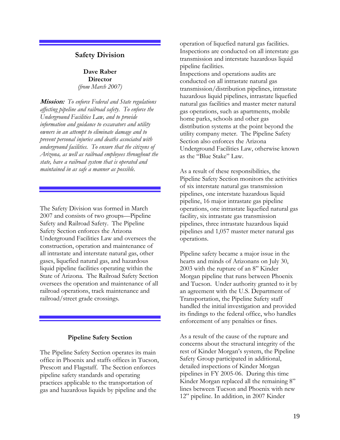### **Safety Division**

**Dave Raber Director**  *(from March 2007)* 

**Mission:** *To enforce Federal and State regulations affecting pipeline and railroad safety. To enforce the Underground Facilities Law, and to provide information and guidance to excavators and utility owners in an attempt to eliminate damage and to prevent personal injuries and deaths associated with underground facilities. To ensure that the citizens of Arizona, as well as railroad employees throughout the state, have a railroad system that is operated and maintained in as safe a manner as possible.*

The Safety Division was formed in March 2007 and consists of two groups—Pipeline Safety and Railroad Safety. The Pipeline Safety Section enforces the Arizona Underground Facilities Law and oversees the construction, operation and maintenance of all intrastate and interstate natural gas, other gases, liquefied natural gas, and hazardous liquid pipeline facilities operating within the State of Arizona. The Railroad Safety Section oversees the operation and maintenance of all railroad operations, track maintenance and railroad/street grade crossings.

#### **Pipeline Safety Section**

The Pipeline Safety Section operates its main office in Phoenix and staffs offices in Tucson, Prescott and Flagstaff. The Section enforces pipeline safety standards and operating practices applicable to the transportation of gas and hazardous liquids by pipeline and the

operation of liquefied natural gas facilities. Inspections are conducted on all interstate gas transmission and interstate hazardous liquid pipeline facilities. Inspections and operations audits are conducted on all intrastate natural gas transmission/distribution pipelines, intrastate hazardous liquid pipelines, intrastate liquefied natural gas facilities and master meter natural gas operations, such as apartments, mobile home parks, schools and other gas distribution systems at the point beyond the utility company meter. The Pipeline Safety Section also enforces the Arizona Underground Facilities Law, otherwise known as the "Blue Stake" Law.

As a result of these responsibilities, the Pipeline Safety Section monitors the activities of six interstate natural gas transmission pipelines, one interstate hazardous liquid pipeline, 16 major intrastate gas pipeline operations, one intrastate liquefied natural gas facility, six intrastate gas transmission pipelines, three intrastate hazardous liquid pipelines and 1,057 master meter natural gas operations.

Pipeline safety became a major issue in the hearts and minds of Arizonans on July 30, 2003 with the rupture of an 8" Kinder Morgan pipeline that runs between Phoenix and Tucson. Under authority granted to it by an agreement with the U.S. Department of Transportation, the Pipeline Safety staff handled the initial investigation and provided its findings to the federal office, who handles enforcement of any penalties or fines.

As a result of the cause of the rupture and concerns about the structural integrity of the rest of Kinder Morgan's system, the Pipeline Safety Group participated in additional, detailed inspections of Kinder Morgan pipelines in FY 2005-06. During this time Kinder Morgan replaced all the remaining 8" lines between Tucson and Phoenix with new 12" pipeline. In addition, in 2007 Kinder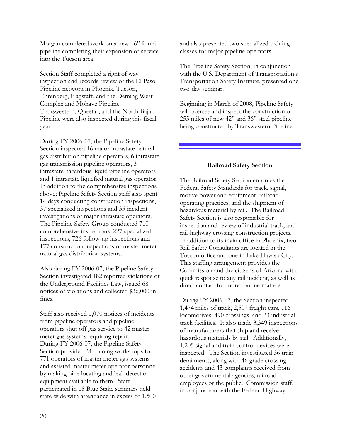Morgan completed work on a new 16" liquid pipeline completing their expansion of service into the Tucson area.

Section Staff completed a right of way inspection and records review of the El Paso Pipeline network in Phoenix, Tucson, Ehrenberg, Flagstaff, and the Deming West Complex and Mohave Pipeline. Transwestern, Questar, and the North Baja Pipeline were also inspected during this fiscal year.

During FY 2006-07, the Pipeline Safety Section inspected 16 major intrastate natural gas distribution pipeline operators, 6 intrastate gas transmission pipeline operators, 3 intrastate hazardous liquid pipeline operators and 1 intrastate liquefied natural gas operator, In addition to the comprehensive inspections above; Pipeline Safety Section staff also spent 14 days conducting construction inspections, 37 specialized inspections and 35 incident investigations of major intrastate operators. The Pipeline Safety Group conducted 710 comprehensive inspections, 227 specialized inspections, 726 follow-up inspections and 177 construction inspections of master meter natural gas distribution systems.

Also during FY 2006-07, the Pipeline Safety Section investigated 182 reported violations of the Underground Facilities Law, issued 68 notices of violations and collected \$36,000 in fines.

Staff also received 1,070 notices of incidents from pipeline operators and pipeline operators shut off gas service to 42 master meter gas systems requiring repair. During FY 2006-07, the Pipeline Safety Section provided 24 training workshops for 771 operators of master meter gas systems and assisted master meter operator personnel by making pipe locating and leak detection equipment available to them. Staff participated in 18 Blue Stake seminars held state-wide with attendance in excess of 1,500

and also presented two specialized training classes for major pipeline operators.

The Pipeline Safety Section, in conjunction with the U.S. Department of Transportation's Transportation Safety Institute, presented one two-day seminar.

Beginning in March of 2008, Pipeline Safety will oversee and inspect the construction of 255 miles of new 42" and 36" steel pipeline being constructed by Transwestern Pipeline.

### **Railroad Safety Section**

The Railroad Safety Section enforces the Federal Safety Standards for track, signal, motive power and equipment, railroad operating practices, and the shipment of hazardous material by rail. The Railroad Safety Section is also responsible for inspection and review of industrial track, and rail-highway crossing construction projects. In addition to its main office in Phoenix, two Rail Safety Consultants are located in the Tucson office and one in Lake Havasu City. This staffing arrangement provides the Commission and the citizens of Arizona with quick response to any rail incident, as well as direct contact for more routine matters.

During FY 2006-07, the Section inspected 1,474 miles of track, 2,507 freight cars, 116 locomotives, 490 crossings, and 23 industrial track facilities. It also made 3,349 inspections of manufacturers that ship and receive hazardous materials by rail. Additionally, 1,205 signal and train control devices were inspected. The Section investigated 36 train derailments, along with 46 grade crossing accidents and 43 complaints received from other governmental agencies, railroad employees or the public. Commission staff, in conjunction with the Federal Highway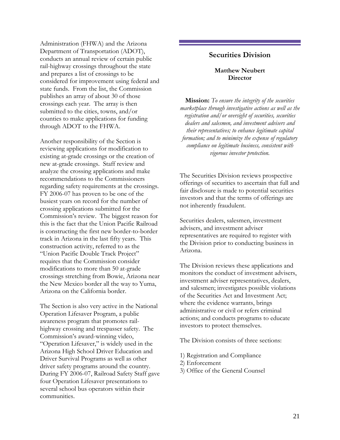Administration (FHWA) and the Arizona Department of Transportation (ADOT), conducts an annual review of certain public rail-highway crossings throughout the state and prepares a list of crossings to be considered for improvement using federal and state funds. From the list, the Commission publishes an array of about 30 of those crossings each year. The array is then submitted to the cities, towns, and/or counties to make applications for funding through ADOT to the FHWA.

Another responsibility of the Section is reviewing applications for modification to existing at-grade crossings or the creation of new at-grade crossings. Staff review and analyze the crossing applications and make recommendations to the Commissioners regarding safety requirements at the crossings. FY 2006-07 has proven to be one of the busiest years on record for the number of crossing applications submitted for the Commission's review. The biggest reason for this is the fact that the Union Pacific Railroad is constructing the first new border-to-border track in Arizona in the last fifty years. This construction activity, referred to as the "Union Pacific Double Track Project" requires that the Commission consider modifications to more than 50 at-grade crossings stretching from Bowie, Arizona near the New Mexico border all the way to Yuma, Arizona on the California border.

The Section is also very active in the National Operation Lifesaver Program, a public awareness program that promotes railhighway crossing and trespasser safety. The Commission's award-winning video, "Operation Lifesaver," is widely used in the Arizona High School Driver Education and Driver Survival Programs as well as other driver safety programs around the country. During FY 2006-07, Railroad Safety Staff gave four Operation Lifesaver presentations to several school bus operators within their communities.

### **Securities Division**

### **Matthew Neubert Director**

**Mission:** *To ensure the integrity of the securities marketplace through investigative actions as well as the registration and/or oversight of securities, securities dealers and salesmen, and investment advisers and their representatives; to enhance legitimate capital formation; and to minimize the expense of regulatory compliance on legitimate business, consistent with vigorous investor protection.* 

The Securities Division reviews prospective offerings of securities to ascertain that full and fair disclosure is made to potential securities investors and that the terms of offerings are not inherently fraudulent.

Securities dealers, salesmen, investment advisers, and investment adviser representatives are required to register with the Division prior to conducting business in Arizona.

The Division reviews these applications and monitors the conduct of investment advisers, investment adviser representatives, dealers, and salesmen; investigates possible violations of the Securities Act and Investment Act; where the evidence warrants, brings administrative or civil or refers criminal actions; and conducts programs to educate investors to protect themselves.

The Division consists of three sections:

- 1) Registration and Compliance
- 2) Enforcement
- 3) Office of the General Counsel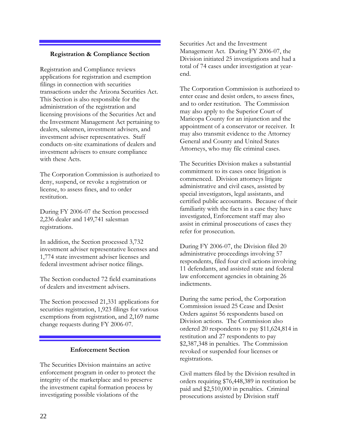### **Registration & Compliance Section**

Registration and Compliance reviews applications for registration and exemption filings in connection with securities transactions under the Arizona Securities Act. This Section is also responsible for the administration of the registration and licensing provisions of the Securities Act and the Investment Management Act pertaining to dealers, salesmen, investment advisers, and investment adviser representatives. Staff conducts on-site examinations of dealers and investment advisers to ensure compliance with these Acts.

The Corporation Commission is authorized to deny, suspend, or revoke a registration or license, to assess fines, and to order restitution.

During FY 2006-07 the Section processed 2,236 dealer and 149,741 salesman registrations.

In addition, the Section processed 3,732 investment adviser representative licenses and 1,774 state investment adviser licenses and federal investment adviser notice filings.

The Section conducted 72 field examinations of dealers and investment advisers.

The Section processed 21,331 applications for securities registration, 1,923 filings for various exemptions from registration, and 2,169 name change requests during FY 2006-07.

### **Enforcement Section**

The Securities Division maintains an active enforcement program in order to protect the integrity of the marketplace and to preserve the investment capital formation process by investigating possible violations of the

Securities Act and the Investment Management Act. During FY 2006-07, the Division initiated 25 investigations and had a total of 74 cases under investigation at yearend.

The Corporation Commission is authorized to enter cease and desist orders, to assess fines, and to order restitution. The Commission may also apply to the Superior Court of Maricopa County for an injunction and the appointment of a conservator or receiver. It may also transmit evidence to the Attorney General and County and United States Attorneys, who may file criminal cases.

The Securities Division makes a substantial commitment to its cases once litigation is commenced. Division attorneys litigate administrative and civil cases, assisted by special investigators, legal assistants, and certified public accountants. Because of their familiarity with the facts in a case they have investigated, Enforcement staff may also assist in criminal prosecutions of cases they refer for prosecution.

During FY 2006-07, the Division filed 20 administrative proceedings involving 57 respondents, filed four civil actions involving 11 defendants, and assisted state and federal law enforcement agencies in obtaining 26 indictments.

During the same period, the Corporation Commission issued 25 Cease and Desist Orders against 56 respondents based on Division actions. The Commission also ordered 20 respondents to pay \$11,624,814 in restitution and 27 respondents to pay \$2,387,348 in penalties. The Commission revoked or suspended four licenses or registrations.

Civil matters filed by the Division resulted in orders requiring \$76,448,389 in restitution be paid and \$2,510,000 in penalties. Criminal prosecutions assisted by Division staff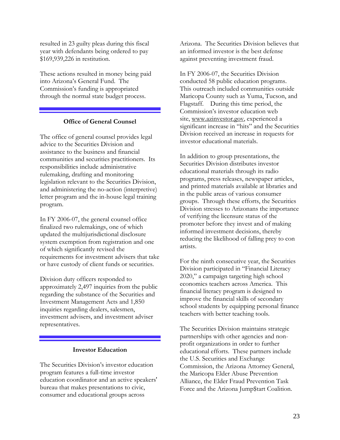resulted in 23 guilty pleas during this fiscal year with defendants being ordered to pay \$169,939,226 in restitution.

These actions resulted in money being paid into Arizona's General Fund. The Commission's funding is appropriated through the normal state budget process.

### **Office of General Counsel**

The office of general counsel provides legal advice to the Securities Division and assistance to the business and financial communities and securities practitioners. Its responsibilities include administrative rulemaking, drafting and monitoring legislation relevant to the Securities Division, and administering the no-action (interpretive) letter program and the in-house legal training program.

In FY 2006-07, the general counsel office finalized two rulemakings, one of which updated the multijurisdictional disclosure system exemption from registration and one of which significantly revised the requirements for investment advisers that take or have custody of client funds or securities.

Division duty officers responded to approximately 2,497 inquiries from the public regarding the substance of the Securities and Investment Management Acts and 1,850 inquiries regarding dealers, salesmen, investment advisers, and investment adviser representatives.

### **Investor Education**

The Securities Division's investor education program features a full-time investor education coordinator and an active speakers' bureau that makes presentations to civic, consumer and educational groups across

Arizona. The Securities Division believes that an informed investor is the best defense against preventing investment fraud.

In FY 2006-07, the Securities Division conducted 58 public education programs. This outreach included communities outside Maricopa County such as Yuma, Tucson, and Flagstaff. During this time period, the Commission's investor education web site, www.azinvestor.gov, experienced a significant increase in "hits" and the Securities Division received an increase in requests for investor educational materials.

In addition to group presentations, the Securities Division distributes investor educational materials through its radio programs, press releases, newspaper articles, and printed materials available at libraries and in the public areas of various consumer groups. Through these efforts, the Securities Division stresses to Arizonans the importance of verifying the licensure status of the promoter before they invest and of making informed investment decisions, thereby reducing the likelihood of falling prey to con artists.

For the ninth consecutive year, the Securities Division participated in "Financial Literacy 2020," a campaign targeting high school economics teachers across America. This financial literacy program is designed to improve the financial skills of secondary school students by equipping personal finance teachers with better teaching tools.

The Securities Division maintains strategic partnerships with other agencies and nonprofit organizations in order to further educational efforts. These partners include the U.S. Securities and Exchange Commission, the Arizona Attorney General, the Maricopa Elder Abuse Prevention Alliance, the Elder Fraud Prevention Task Force and the Arizona Jump\$tart Coalition.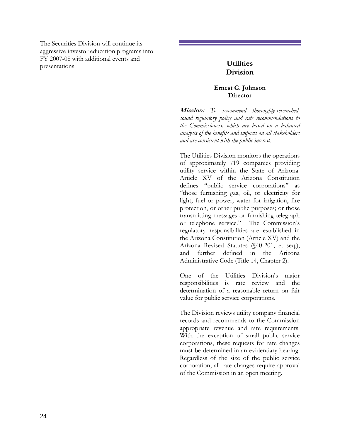The Securities Division will continue its aggressive investor education programs into FY 2007-08 with additional events and presentations. **Utilities** 

## **Division**

### **Ernest G. Johnson Director**

**Mission:** *To recommend thoroughly-researched, sound regulatory policy and rate recommendations to the Commissioners, which are based on a balanced analysis of the benefits and impacts on all stakeholders and are consistent with the public interest.* 

The Utilities Division monitors the operations of approximately 719 companies providing utility service within the State of Arizona. Article XV of the Arizona Constitution defines "public service corporations" as "those furnishing gas, oil, or electricity for light, fuel or power; water for irrigation, fire protection, or other public purposes; or those transmitting messages or furnishing telegraph or telephone service." The Commission's regulatory responsibilities are established in the Arizona Constitution (Article XV) and the Arizona Revised Statutes (§40-201, et seq.), and further defined in the Arizona Administrative Code (Title 14, Chapter 2).

One of the Utilities Division's major responsibilities is rate review and the determination of a reasonable return on fair value for public service corporations.

The Division reviews utility company financial records and recommends to the Commission appropriate revenue and rate requirements. With the exception of small public service corporations, these requests for rate changes must be determined in an evidentiary hearing. Regardless of the size of the public service corporation, all rate changes require approval of the Commission in an open meeting.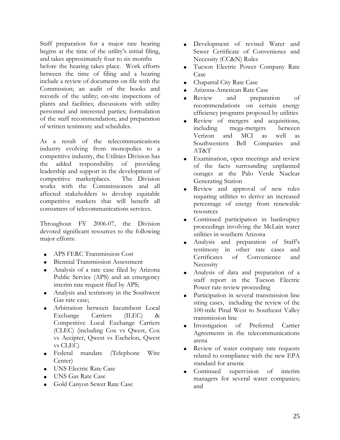Staff preparation for a major rate hearing begins at the time of the utility's initial filing, and takes approximately four to six months before the hearing takes place. Work efforts between the time of filing and a hearing include a review of documents on file with the Commission; an audit of the books and records of the utility; on-site inspections of plants and facilities; discussions with utility personnel and interested parties; formulation of the staff recommendation; and preparation of written testimony and schedules.

As a result of the telecommunications industry evolving from monopolies to a competitive industry, the Utilities Division has the added responsibility of providing leadership and support in the development of competitive marketplaces. The Division works with the Commissioners and all affected stakeholders to develop equitable competitive markets that will benefit all consumers of telecommunications services.

Throughout FY 2006-07, the Division devoted significant resources to the following major efforts:

- APS FERC Transmission Cost
- Biennial Transmission Assessment
- Analysis of a rate case filed by Arizona Public Service (APS) and an emergency interim rate request filed by APS;
- Analysis and testimony in the Southwest Gas rate case;
- Arbitration between Incumbent Local Exchange Carriers (ILEC) & Competitive Local Exchange Carriers (CLEC) (including Cox vs Qwest, Cox vs Accipter, Qwest vs Eschelon, Qwest vs CLEC)
- Federal mandate (Telephone Wire Center)
- UNS Electric Rate Case
- UNS Gas Rate Case
- Gold Canyon Sewer Rate Case
- Development of revised Water and Sewer Certificate of Convenience and Necessity (CC&N) Rules
- Tucson Electric Power Company Rate Case
- Chaparral City Rate Case
- Arizona-American Rate Case
- Review and preparation of recommendations on certain energy efficiency programs proposed by utilities
- Review of mergers and acquisitions, including mega-mergers between Verizon and MCI as well as Southwestern Bell Companies and AT&T
- Examination, open meetings and review of the facts surrounding unplanned outages at the Palo Verde Nuclear Generating Station
- Review and approval of new rules requiring utilities to derive an increased percentage of energy from renewable resources
- Continued participation in bankruptcy proceedings involving the McLain water utilities in southern Arizona
- Analysis and preparation of Staff's testimony in other rate cases and Certificates of Convenience and **Necessity**
- Analysis of data and preparation of a staff report in the Tucson Electric Power rate review proceeding
- Participation in several transmission line siting cases, including the review of the 100-mile Pinal West to Southeast Valley transmission line
- Investigation of Preferred Carrier Agreements in the telecommunications arena
- Review of water company rate requests related to compliance with the new EPA standard for arsenic
- Continued supervision of interim managers for several water companies; and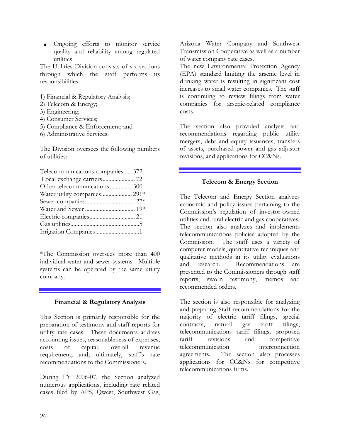• Ongoing efforts to monitor service quality and reliability among regulated utilities

The Utilities Division consists of six sections through which the staff performs its responsibilities:

- 1) Financial & Regulatory Analysis;
- 2) Telecom & Energy;
- 3) Engineering;
- 4) Consumer Services;
- 5) Compliance & Enforcement; and
- 6) Administrative Services.

The Division oversees the following numbers of utilities:

| Telecommunications companies  372 |
|-----------------------------------|
|                                   |
| Other telecommunications 300      |
| Water utility companies 291*      |
|                                   |
|                                   |
|                                   |
|                                   |
|                                   |
|                                   |

\*The Commission oversees more than 400 individual water and sewer systems. Multiple systems can be operated by the same utility company.

### **Financial & Regulatory Analysis**

This Section is primarily responsible for the preparation of testimony and staff reports for utility rate cases. These documents address accounting issues, reasonableness of expenses, costs of capital, overall revenue requirement, and, ultimately, staff's rate recommendations to the Commissioners.

During FY 2006-07, the Section analyzed numerous applications, including rate related cases filed by APS, Qwest, Southwest Gas, Arizona Water Company and Southwest Transmission Cooperative as well as a number of water company rate cases.

The new Environmental Protection Agency (EPA) standard limiting the arsenic level in drinking water is resulting in significant cost increases to small water companies. The staff is continuing to review filings from water companies for arsenic-related compliance costs.

The section also provided analysis and recommendations regarding public utility mergers, debt and equity issuances, transfers of assets, purchased power and gas adjustor revisions, and applications for CC&Ns.

### **Telecom & Energy Section**

The Telecom and Energy Section analyzes economic and policy issues pertaining to the Commission's regulation of investor-owned utilities and rural electric and gas cooperatives. The section also analyzes and implements telecommunications policies adopted by the Commission. The staff uses a variety of computer models, quantitative techniques and qualitative methods in its utility evaluations and research. Recommendations are presented to the Commissioners through staff reports, sworn testimony, memos and recommended orders.

The section is also responsible for analyzing and preparing Staff recommendations for the majority of electric tariff filings, special contracts, natural gas tariff filings, telecommunications tariff filings, proposed tariff revisions and competitive telecommunication interconnection agreements. The section also processes applications for CC&Ns for competitive telecommunications firms.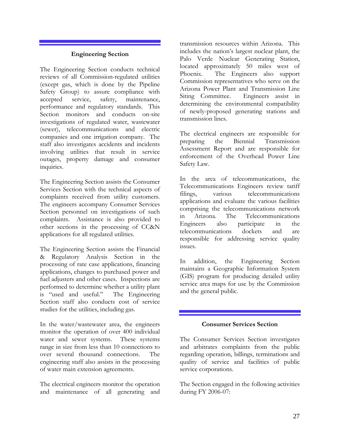### **Engineering Section**

The Engineering Section conducts technical reviews of all Commission-regulated utilities (except gas, which is done by the Pipeline Safety Group) to assure compliance with accepted service, safety, maintenance, performance and regulatory standards. This Section monitors and conducts on-site investigations of regulated water, wastewater (sewer), telecommunications and electric companies and one irrigation company. The staff also investigates accidents and incidents involving utilities that result in service outages, property damage and consumer inquiries.

The Engineering Section assists the Consumer Services Section with the technical aspects of complaints received from utility customers. The engineers accompany Consumer Services Section personnel on investigations of such complaints. Assistance is also provided to other sections in the processing of CC&N applications for all regulated utilities.

The Engineering Section assists the Financial & Regulatory Analysis Section in the processing of rate case applications, financing applications, changes to purchased power and fuel adjusters and other cases. Inspections are performed to determine whether a utility plant is "used and useful." The Engineering Section staff also conducts cost of service studies for the utilities, including gas.

In the water/wastewater area, the engineers monitor the operation of over 400 individual water and sewer systems. These systems range in size from less than 10 connections to over several thousand connections. The engineering staff also assists in the processing of water main extension agreements.

The electrical engineers monitor the operation and maintenance of all generating and transmission resources within Arizona. This includes the nation's largest nuclear plant, the Palo Verde Nuclear Generating Station, located approximately 50 miles west of Phoenix. The Engineers also support Commission representatives who serve on the Arizona Power Plant and Transmission Line Siting Committee. Engineers assist in determining the environmental compatibility of newly-proposed generating stations and transmission lines.

The electrical engineers are responsible for preparing the Biennial Transmission Assessment Report and are responsible for enforcement of the Overhead Power Line Safety Law.

In the area of telecommunications, the Telecommunications Engineers review tariff filings, various telecommunications applications and evaluate the various facilities comprising the telecommunications network in Arizona. The Telecommunications Engineers also participate in the telecommunications dockets and are responsible for addressing service quality issues.

In addition, the Engineering Section maintains a Geographic Information System (GIS) program for producing detailed utility service area maps for use by the Commission and the general public.

### **Consumer Services Section**

The Consumer Services Section investigates and arbitrates complaints from the public regarding operation, billings, terminations and quality of service and facilities of public service corporations.

The Section engaged in the following activities during FY 2006-07: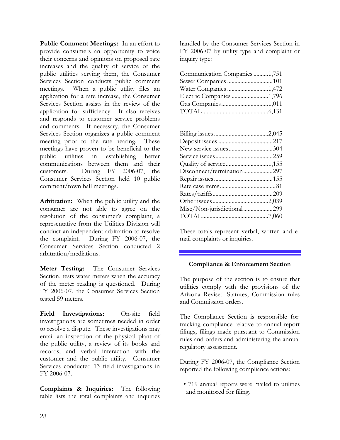**Public Comment Meetings:** In an effort to provide consumers an opportunity to voice their concerns and opinions on proposed rate increases and the quality of service of the public utilities serving them, the Consumer Services Section conducts public comment meetings. When a public utility files an application for a rate increase, the Consumer Services Section assists in the review of the application for sufficiency. It also receives and responds to customer service problems and comments. If necessary, the Consumer Services Section organizes a public comment meeting prior to the rate hearing. These meetings have proven to be beneficial to the public utilities in establishing better communications between them and their customers. During FY 2006-07, the Consumer Services Section held 10 public comment/town hall meetings.

**Arbitration:** When the public utility and the consumer are not able to agree on the resolution of the consumer's complaint, a representative from the Utilities Division will conduct an independent arbitration to resolve<br>the complaint. During FY 2006-07, the During FY 2006-07, the Consumer Services Section conducted 2 arbitration/mediations.

**Meter Testing:** The Consumer Services Section, tests water meters when the accuracy of the meter reading is questioned. During FY 2006-07, the Consumer Services Section tested 59 meters.

Field Investigations: On-site field investigations are sometimes needed in order to resolve a dispute. These investigations may entail an inspection of the physical plant of the public utility, a review of its books and records, and verbal interaction with the customer and the public utility. Consumer Services conducted 13 field investigations in FY 2006-07.

**Complaints & Inquiries:** The following table lists the total complaints and inquiries handled by the Consumer Services Section in FY 2006-07 by utility type and complaint or inquiry type:

| Communication Companies 1,751 |  |
|-------------------------------|--|
|                               |  |
| Water Companies 1,472         |  |
| Electric Companies 1,796      |  |
|                               |  |
|                               |  |

| New service issues304      |  |
|----------------------------|--|
|                            |  |
|                            |  |
| Disconnect/termination297  |  |
|                            |  |
|                            |  |
|                            |  |
|                            |  |
| Misc/Non-jurisdictional299 |  |
|                            |  |

These totals represent verbal, written and email complaints or inquiries.

### **Compliance & Enforcement Section**

The purpose of the section is to ensure that utilities comply with the provisions of the Arizona Revised Statutes, Commission rules and Commission orders.

The Compliance Section is responsible for: tracking compliance relative to annual report filings, filings made pursuant to Commission rules and orders and administering the annual regulatory assessment.

During FY 2006-07, the Compliance Section reported the following compliance actions:

• 719 annual reports were mailed to utilities and monitored for filing.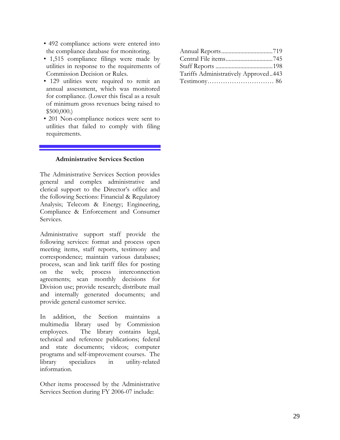- 492 compliance actions were entered into the compliance database for monitoring.
- 1,515 compliance filings were made by utilities in response to the requirements of Commission Decision or Rules.
- 129 utilities were required to remit an annual assessment, which was monitored for compliance. (Lower this fiscal as a result of minimum gross revenues being raised to \$500,000.)
- 201 Non-compliance notices were sent to utilities that failed to comply with filing requirements.

### **Administrative Services Section**

The Administrative Services Section provides general and complex administrative and clerical support to the Director's office and the following Sections: Financial & Regulatory Analysis; Telecom & Energy; Engineering, Compliance & Enforcement and Consumer Services.

Administrative support staff provide the following services: format and process open meeting items, staff reports, testimony and correspondence; maintain various databases; process, scan and link tariff files for posting on the web; process interconnection agreements; scan monthly decisions for Division use; provide research; distribute mail and internally generated documents; and provide general customer service.

In addition, the Section maintains a multimedia library used by Commission employees. The library contains legal, technical and reference publications; federal and state documents; videos; computer programs and self-improvement courses. The library specializes in utility-related information.

Other items processed by the Administrative Services Section during FY 2006-07 include:

| Tariffs Administratively Approved443 |  |
|--------------------------------------|--|
|                                      |  |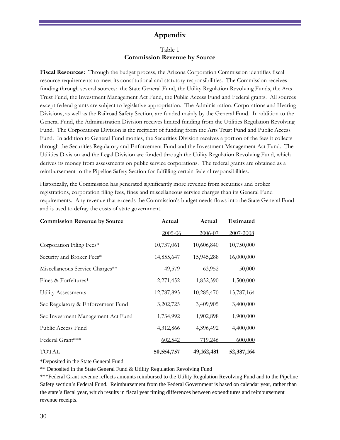### **Appendix**

### Table 1 **Commission Revenue by Source**

**Fiscal Resources:** Through the budget process, the Arizona Corporation Commission identifies fiscal resource requirements to meet its constitutional and statutory responsibilities. The Commission receives funding through several sources: the State General Fund, the Utility Regulation Revolving Funds, the Arts Trust Fund, the Investment Management Act Fund, the Public Access Fund and Federal grants. All sources except federal grants are subject to legislative appropriation. The Administration, Corporations and Hearing Divisions, as well as the Railroad Safety Section, are funded mainly by the General Fund. In addition to the General Fund, the Administration Division receives limited funding from the Utilities Regulation Revolving Fund. The Corporations Division is the recipient of funding from the Arts Trust Fund and Public Access Fund. In addition to General Fund monies, the Securities Division receives a portion of the fees it collects through the Securities Regulatory and Enforcement Fund and the Investment Management Act Fund. The Utilities Division and the Legal Division are funded through the Utility Regulation Revolving Fund, which derives its money from assessments on public service corporations. The federal grants are obtained as a reimbursement to the Pipeline Safety Section for fulfilling certain federal responsibilities.

Historically, the Commission has generated significantly more revenue from securities and broker registrations, corporation filing fees, fines and miscellaneous service charges than its General Fund requirements. Any revenue that exceeds the Commission's budget needs flows into the State General Fund and is used to defray the costs of state government.

| <b>Commission Revenue by Source</b> | Actual     | Actual     | <b>Estimated</b> |
|-------------------------------------|------------|------------|------------------|
|                                     | 2005-06    | 2006-07    | 2007-2008        |
| Corporation Filing Fees*            | 10,737,061 | 10,606,840 | 10,750,000       |
| Security and Broker Fees*           | 14,855,647 | 15,945,288 | 16,000,000       |
| Miscellaneous Service Charges**     | 49,579     | 63,952     | 50,000           |
| Fines & Forfeitures*                | 2,271,452  | 1,832,390  | 1,500,000        |
| Utility Assessments                 | 12,787,893 | 10,285,470 | 13,787,164       |
| Sec Regulatory & Enforcement Fund   | 3,202,725  | 3,409,905  | 3,400,000        |
| Sec Investment Management Act Fund  | 1,734,992  | 1,902,898  | 1,900,000        |
| Public Access Fund                  | 4,312,866  | 4,396,492  | 4,400,000        |
| Federal Grant***                    | 602,542    | 719,246    | 600,000          |
| <b>TOTAL</b>                        | 50,554,757 | 49,162,481 | 52, 387, 164     |

\*Deposited in the State General Fund

\*\* Deposited in the State General Fund & Utility Regulation Revolving Fund

\*\*\*Federal Grant revenue reflects amounts reimbursed to the Utility Regulation Revolving Fund and to the Pipeline Safety section's Federal Fund. Reimbursement from the Federal Government is based on calendar year, rather than the state's fiscal year, which results in fiscal year timing differences between expenditures and reimbursement revenue receipts.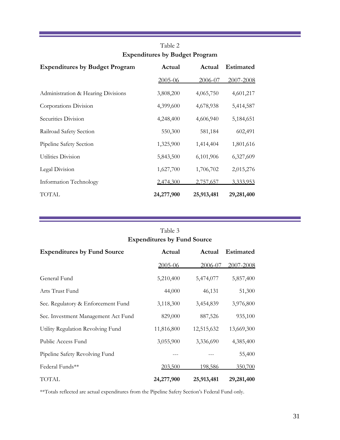| <b>Expenditures by Budget Program</b> | Actual     | Actual     | Estimated  |
|---------------------------------------|------------|------------|------------|
|                                       | 2005-06    | 2006-07    | 2007-2008  |
| Administration & Hearing Divisions    | 3,808,200  | 4,065,750  | 4,601,217  |
| Corporations Division                 | 4,399,600  | 4,678,938  | 5,414,587  |
| Securities Division                   | 4,248,400  | 4,606,940  | 5,184,651  |
| Railroad Safety Section               | 550,300    | 581,184    | 602,491    |
| Pipeline Safety Section               | 1,325,900  | 1,414,404  | 1,801,616  |
| Utilities Division                    | 5,843,500  | 6,101,906  | 6,327,609  |
| Legal Division                        | 1,627,700  | 1,706,702  | 2,015,276  |
| Information Technology                | 2,474,300  | 2,757,657  | 3,333,953  |
| TOTAL                                 | 24,277,900 | 25,913,481 | 29,281,400 |

### Table 2 **Expenditures by Budget Program**

## Table 3 **Expenditures by Fund Source Expenditures by Fund Source Actual Actual Estimated**  2005-06 2006-07 2007-2008 General Fund 5,210,400 5,474,077 5,857,400 Arts Trust Fund 44,000 46,131 51,300 Sec. Regulatory & Enforcement Fund 3,118,300 3,454,839 3,976,800 Sec. Investment Management Act Fund 829,000 887,526 935,100 Utility Regulation Revolving Fund 11,816,800 12,515,632 13,669,300 Public Access Fund 3,055,900 3,336,690 4,385,400 Pipeline Safety Revolving Fund --- 55,400 Federal Funds\*\* 203.500 198.586 350.700 TOTAL **24,277,900 25,913,481 29,281,400**

\*\*Totals reflected are actual expenditures from the Pipeline Safety Section's Federal Fund only.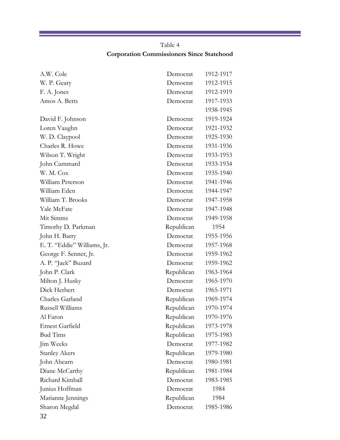### Table 4 **Corporation Commissioners Since Statehood**

| A.W. Cole                   | Democrat   | 1912-1917 |
|-----------------------------|------------|-----------|
| W. P. Geary                 | Democrat   | 1912-1915 |
| F. A. Jones                 | Democrat   | 1912-1919 |
| Amos A. Betts               | Democrat   | 1917-1933 |
|                             |            | 1938-1945 |
| David F. Johnson            | Democrat   | 1919-1924 |
| Loren Vaughn                | Democrat   | 1921-1932 |
| W. D. Claypool              | Democrat   | 1925-1930 |
| Charles R. Howe             | Democrat   | 1931-1936 |
| Wilson T. Wright            | Democrat   | 1933-1953 |
| John Cummard                | Democrat   | 1933-1934 |
| W. M. Cox                   | Democrat   | 1935-1940 |
| William Peterson            | Democrat   | 1941-1946 |
| William Eden                | Democrat   | 1944-1947 |
| William T. Brooks           | Democrat   | 1947-1958 |
| Yale McFate                 | Democrat   | 1947-1948 |
| Mit Simms                   | Democrat   | 1949-1958 |
| Timothy D. Parkman          | Republican | 1954      |
| John H. Barry               | Democrat   | 1955-1956 |
| E. T. "Eddie" Williams, Jr. | Democrat   | 1957-1968 |
| George F. Senner, Jr.       | Democrat   | 1959-1962 |
| A. P. "Jack" Buzard         | Democrat   | 1959-1962 |
| John P. Clark               | Republican | 1963-1964 |
| Milton J. Husky             | Democrat   | 1965-1970 |
| Dick Herbert                | Democrat   | 1965-1971 |
| Charles Garland             | Republican | 1969-1974 |
| Russell Williams            | Republican | 1970-1974 |
| Al Faron-                   | Republican | 1970-1976 |
| Ernest Garfield             | Republican | 1973-1978 |
| <b>Bud Tims</b>             | Republican | 1975-1983 |
| Jim Weeks                   | Democrat   | 1977-1982 |
| <b>Stanley Akers</b>        | Republican | 1979-1980 |
| John Ahearn                 | Democrat   | 1980-1981 |
| Diane McCarthy              | Republican | 1981-1984 |
| Richard Kimball             |            | 1983-1985 |
|                             | Democrat   |           |
| Junius Hoffman              | Democrat   | 1984      |
| Marianne Jennings           | Republican | 1984      |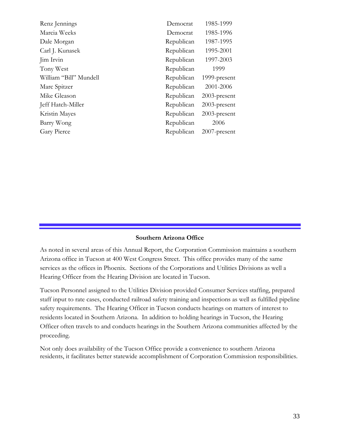| Renz Jennings          | Democrat   | 1985-1999       |
|------------------------|------------|-----------------|
| Marcia Weeks           | Democrat   | 1985-1996       |
| Dale Morgan            | Republican | 1987-1995       |
| Carl J. Kunasek        | Republican | 1995-2001       |
| Jim Irvin              | Republican | 1997-2003       |
| Tony West              | Republican | 1999            |
| William "Bill" Mundell | Republican | 1999-present    |
| Marc Spitzer           | Republican | 2001-2006       |
| Mike Gleason           | Republican | $2003$ -present |
| Jeff Hatch-Miller      | Republican | $2003$ -present |
| Kristin Mayes          | Republican | $2003$ -present |
| Barry Wong             | Republican | 2006            |
| Gary Pierce            | Republican | $2007$ -present |
|                        |            |                 |

### **Southern Arizona Office**

As noted in several areas of this Annual Report, the Corporation Commission maintains a southern Arizona office in Tucson at 400 West Congress Street. This office provides many of the same services as the offices in Phoenix. Sections of the Corporations and Utilities Divisions as well a Hearing Officer from the Hearing Division are located in Tucson.

Tucson Personnel assigned to the Utilities Division provided Consumer Services staffing, prepared staff input to rate cases, conducted railroad safety training and inspections as well as fulfilled pipeline safety requirements. The Hearing Officer in Tucson conducts hearings on matters of interest to residents located in Southern Arizona. In addition to holding hearings in Tucson, the Hearing Officer often travels to and conducts hearings in the Southern Arizona communities affected by the proceeding.

Not only does availability of the Tucson Office provide a convenience to southern Arizona residents, it facilitates better statewide accomplishment of Corporation Commission responsibilities.